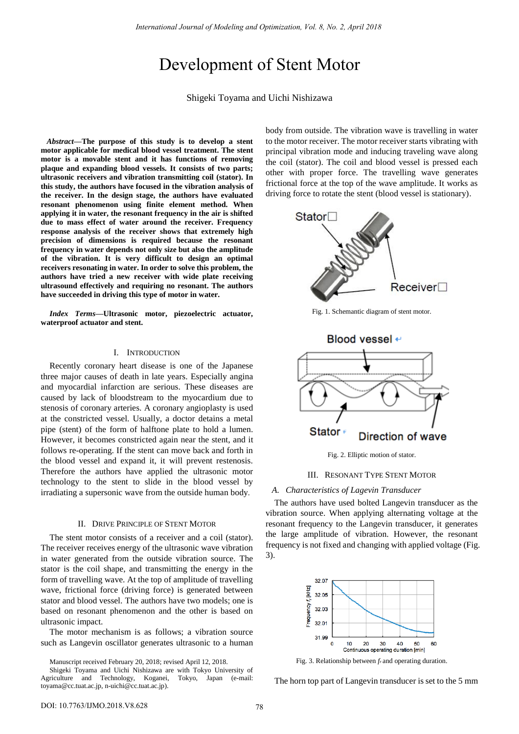# Development of Stent Motor

Shigeki Toyama and Uichi Nishizawa

 *Abstract***—The purpose of this study is to develop a stent motor applicable for medical blood vessel treatment. The stent motor is a movable stent and it has functions of removing plaque and expanding blood vessels. It consists of two parts; ultrasonic receivers and vibration transmitting coil (stator). In this study, the authors have focused in the vibration analysis of the receiver. In the design stage, the authors have evaluated resonant phenomenon using finite element method. When applying it in water, the resonant frequency in the air is shifted due to mass effect of water around the receiver. Frequency response analysis of the receiver shows that extremely high precision of dimensions is required because the resonant frequency in water depends not only size but also the amplitude of the vibration. It is very difficult to design an optimal receivers resonating in water. In order to solve this problem, the authors have tried a new receiver with wide plate receiving ultrasound effectively and requiring no resonant. The authors have succeeded in driving this type of motor in water.** 

*Index Terms***—Ultrasonic motor, piezoelectric actuator, waterproof actuator and stent.** 

## I. INTRODUCTION

Recently coronary heart disease is one of the Japanese three major causes of death in late years. Especially angina and myocardial infarction are serious. These diseases are caused by lack of bloodstream to the myocardium due to stenosis of coronary arteries. A coronary angioplasty is used at the constricted vessel. Usually, a doctor detains a metal pipe (stent) of the form of halftone plate to hold a lumen. However, it becomes constricted again near the stent, and it follows re-operating. If the stent can move back and forth in the blood vessel and expand it, it will prevent restenosis. Therefore the authors have applied the ultrasonic motor technology to the stent to slide in the blood vessel by irradiating a supersonic wave from the outside human body.

## II. DRIVE PRINCIPLE OF STENT MOTOR

The stent motor consists of a receiver and a coil (stator). The receiver receives energy of the ultrasonic wave vibration in water generated from the outside vibration source. The stator is the coil shape, and transmitting the energy in the form of travelling wave. At the top of amplitude of travelling wave, frictional force (driving force) is generated between stator and blood vessel. The authors have two models; one is based on resonant phenomenon and the other is based on ultrasonic impact.

The motor mechanism is as follows; a vibration source such as Langevin oscillator generates ultrasonic to a human

Manuscript received February 20, 2018; revised April 12, 2018.

body from outside. The vibration wave is travelling in water to the motor receiver. The motor receiver starts vibrating with principal vibration mode and inducing traveling wave along the coil (stator). The coil and blood vessel is pressed each other with proper force. The travelling wave generates frictional force at the top of the wave amplitude. It works as driving force to rotate the stent (blood vessel is stationary).



Fig. 1. Schemantic diagram of stent motor.



Fig. 2. Elliptic motion of stator.

## III. RESONANT TYPE STENT MOTOR

## *A. Characteristics of Lagevin Transducer*

The authors have used bolted Langevin transducer as the vibration source. When applying alternating voltage at the resonant frequency to the Langevin transducer, it generates the large amplitude of vibration. However, the resonant frequency is not fixed and changing with applied voltage (Fig. 3).



Fig. 3. Relationship between *fr* and operating duration.

The horn top part of Langevin transducer is set to the 5 mm

Shigeki Toyama and Uichi Nishizawa are with Tokyo University of Agriculture and Technology, Koganei, Tokyo, Japan (e-mail: toyama@cc.tuat.ac.jp, n-uichi@cc.tuat.ac.jp).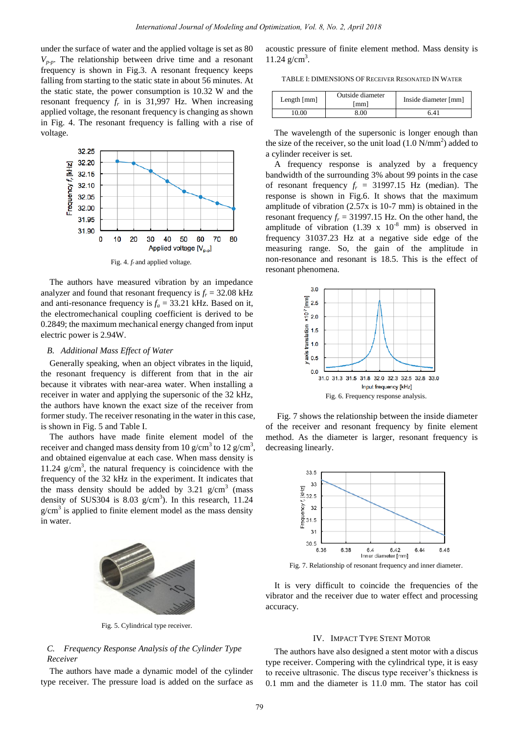under the surface of water and the applied voltage is set as 80  $V_{p-p}$ . The relationship between drive time and a resonant frequency is shown in Fig.3. A resonant frequency keeps falling from starting to the static state in about 56 minutes. At the static state, the power consumption is 10.32 W and the resonant frequency  $f_r$  in is 31,997 Hz. When increasing applied voltage, the resonant frequency is changing as shown in Fig. 4. The resonant frequency is falling with a rise of voltage.



Fig. 4*. fr* and applied voltage.

The authors have measured vibration by an impedance analyzer and found that resonant frequency is  $f_r = 32.08$  kHz and anti-resonance frequency is  $f_a = 33.21$  kHz. Based on it, the electromechanical coupling coefficient is derived to be 0.2849; the maximum mechanical energy changed from input electric power is 2.94W.

## *B. Additional Mass Effect of Water*

Generally speaking, when an object vibrates in the liquid, the resonant frequency is different from that in the air because it vibrates with near-area water. When installing a receiver in water and applying the supersonic of the 32 kHz, the authors have known the exact size of the receiver from former study. The receiver resonating in the water in this case, is shown in Fig. 5 and Table I.

The authors have made finite element model of the receiver and changed mass density from 10 g/cm<sup>3</sup> to 12 g/cm<sup>3</sup>, and obtained eigenvalue at each case. When mass density is 11.24  $g/cm<sup>3</sup>$ , the natural frequency is coincidence with the frequency of the 32 kHz in the experiment. It indicates that the mass density should be added by  $3.21 \text{ g/cm}^3$  (mass density of SUS304 is 8.03  $g/cm<sup>3</sup>$ ). In this research, 11.24  $g/cm<sup>3</sup>$  is applied to finite element model as the mass density in water.



Fig. 5. Cylindrical type receiver.

## *C. Frequency Response Analysis of the Cylinder Type Receiver*

The authors have made a dynamic model of the cylinder type receiver. The pressure load is added on the surface as acoustic pressure of finite element method. Mass density is  $11.24$  g/cm<sup>3</sup>.

TABLE I: DIMENSIONS OF RECEIVER RESONATED IN WATER

| Length ${\rm [mm]}$ | Outside diameter<br>[mm] | Inside diameter [mm] |
|---------------------|--------------------------|----------------------|
| 10.00               | 8.00                     | 6.41                 |

The wavelength of the supersonic is longer enough than the size of the receiver, so the unit load  $(1.0 \text{ N/mm}^2)$  added to a cylinder receiver is set.

A frequency response is analyzed by a frequency bandwidth of the surrounding 3% about 99 points in the case of resonant frequency  $f_r = 31997.15$  Hz (median). The response is shown in Fig.6. It shows that the maximum amplitude of vibration (2.57x is 10-7 mm) is obtained in the resonant frequency  $f_r = 31997.15$  Hz. On the other hand, the amplitude of vibration  $(1.39 \times 10^{-8} \text{ mm})$  is observed in frequency 31037.23 Hz at a negative side edge of the measuring range. So, the gain of the amplitude in non-resonance and resonant is 18.5. This is the effect of resonant phenomena.



Fig. 7 shows the relationship between the inside diameter of the receiver and resonant frequency by finite element method. As the diameter is larger, resonant frequency is decreasing linearly.



Fig. 7. Relationship of resonant frequency and inner diameter.

It is very difficult to coincide the frequencies of the vibrator and the receiver due to water effect and processing accuracy.

### IV. IMPACT TYPE STENT MOTOR

The authors have also designed a stent motor with a discus type receiver. Compering with the cylindrical type, it is easy to receive ultrasonic. The discus type receiver's thickness is 0.1 mm and the diameter is 11.0 mm. The stator has coil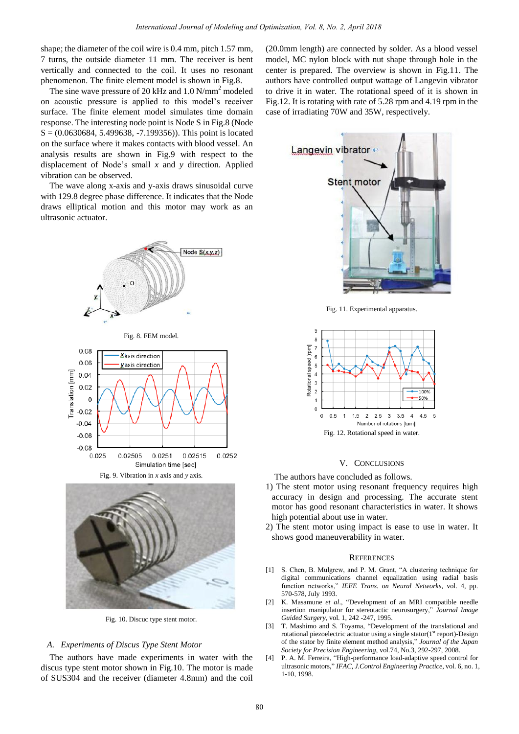shape; the diameter of the coil wire is 0.4 mm, pitch 1.57 mm, 7 turns, the outside diameter 11 mm. The receiver is bent vertically and connected to the coil. It uses no resonant phenomenon. The finite element model is shown in Fig.8.

The sine wave pressure of 20 kHz and  $1.0$  N/mm<sup>2</sup> modeled on acoustic pressure is applied to this model's receiver surface. The finite element model simulates time domain response. The interesting node point is Node S in Fig.8 (Node  $S = (0.0630684, 5.499638, -7.199356)$ . This point is located on the surface where it makes contacts with blood vessel. An analysis results are shown in Fig.9 with respect to the displacement of Node's small *x* and *y* direction. Applied vibration can be observed.

The wave along x-axis and y-axis draws sinusoidal curve with 129.8 degree phase difference. It indicates that the Node draws elliptical motion and this motor may work as an ultrasonic actuator.





Fig. 10. Discuc type stent motor.

## *A. Experiments of Discus Type Stent Motor*

The authors have made experiments in water with the discus type stent motor shown in Fig.10. The motor is made of SUS304 and the receiver (diameter 4.8mm) and the coil

(20.0mm length) are connected by solder. As a blood vessel model, MC nylon block with nut shape through hole in the center is prepared. The overview is shown in Fig.11. The authors have controlled output wattage of Langevin vibrator to drive it in water. The rotational speed of it is shown in Fig.12. It is rotating with rate of 5.28 rpm and 4.19 rpm in the case of irradiating 70W and 35W, respectively.



Fig. 11. Experimental apparatus.



## V. CONCLUSIONS

The authors have concluded as follows.

- 1) The stent motor using resonant frequency requires high accuracy in design and processing. The accurate stent motor has good resonant characteristics in water. It shows high potential about use in water.
- 2) The stent motor using impact is ease to use in water. It shows good maneuverability in water.

#### **REFERENCES**

- [1] S. Chen, B. Mulgrew, and P. M. Grant, "A clustering technique for digital communications channel equalization using radial basis function networks," *IEEE Trans. on Neural Networks*, vol. 4, pp. 570-578, July 1993.
- [2] K. Masamune *et al*., "Development of an MRI compatible needle insertion manipulator for stereotactic neurosurgery," *Journal Image Guided Surgery*, vol. 1, 242 -247, 1995.
- [3] T. Mashimo and S. Toyama, "Development of the translational and rotational piezoelectric actuator using a single stator( $1<sup>st</sup>$  report)-Design of the stator by finite element method analysis," *Journal of the Japan Society for Precision Engineering*, vol.74, No.3, 292-297, 2008.
- [4] P. A. M. Ferreira, "High-performance load-adaptive speed control for ultrasonic motors," *IFAC, J.Control Engineering Practice*, vol. 6, no. 1, 1-10, 1998.